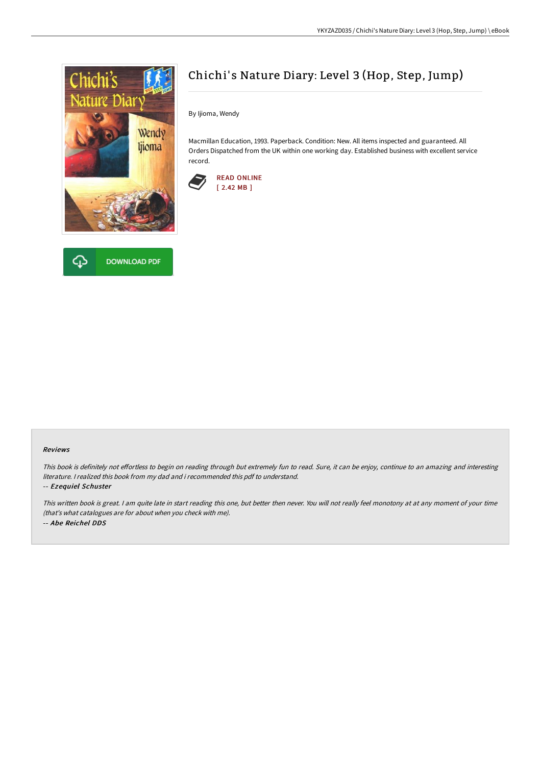



# Chichi's Nature Diary: Level 3 (Hop, Step, Jump)

By Ijioma, Wendy

Macmillan Education, 1993. Paperback. Condition: New. All items inspected and guaranteed. All Orders Dispatched from the UK within one working day. Established business with excellent service record.



## Reviews

This book is definitely not effortless to begin on reading through but extremely fun to read. Sure, it can be enjoy, continue to an amazing and interesting literature. I realized this book from my dad and i recommended this pdf to understand.

## -- Ezequiel Schuster

This written book is great. <sup>I</sup> am quite late in start reading this one, but better then never. You will not really feel monotony at at any moment of your time (that's what catalogues are for about when you check with me). -- Abe Reichel DDS